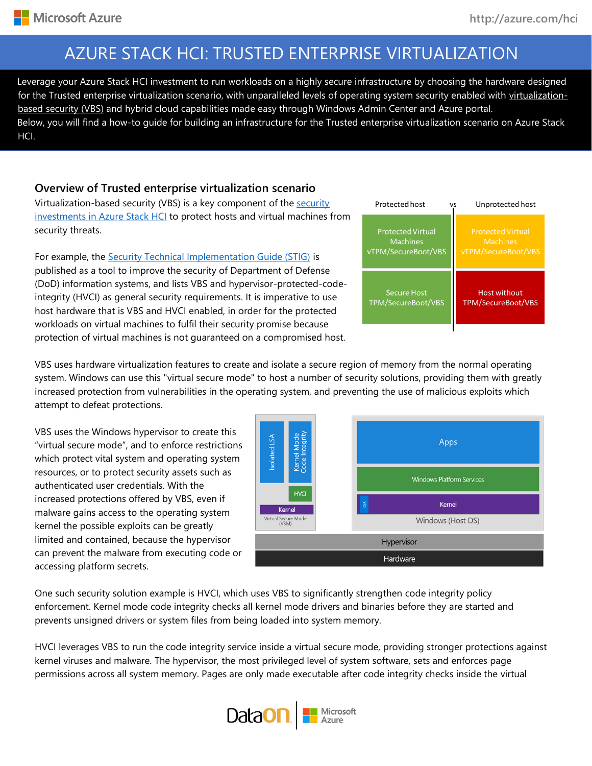## AZURE STACK HCI: TRUSTED ENTERPRISE VIRTUALIZATION

su for the Trusted enterprise virtualization scenario, with unparalleled levels of operating system security enabled with [virtualization-](https://docs.microsoft.com/en-us/windows-hardware/design/device-experiences/oem-vbs)Leverage your Azure Stack HCI investment to run workloads on a highly secure infrastructure by choosing the hardware designed [based security](https://docs.microsoft.com/en-us/windows-hardware/design/device-experiences/oem-vbs) (VBS) and hybrid cloud capabilities made easy through Windows Admin Center and Azure portal. Below, you will find a how-to guide for building an infrastructure for the Trusted enterprise virtualization scenario on Azure Stack HCI.

#### **Overview of Trusted enterprise virtualization scenario**

Virtualization-based [security](https://docs.microsoft.com/en-us/windows-server/get-started-19/whats-new-19#security) (VBS) is a key component of the security investments [in Azure Stack HCI](https://docs.microsoft.com/en-us/windows-server/get-started-19/whats-new-19#security) to protect hosts and virtual machines from security threats.

For example, the [Security Technical Implementation Guide \(STIG\)](https://nvd.nist.gov/ncp/checklist/914) is published as a tool to improve the security of Department of Defense (DoD) information systems, and lists VBS and hypervisor-protected-codeintegrity (HVCI) as general security requirements. It is imperative to use host hardware that is VBS and HVCI enabled, in order for the protected workloads on virtual machines to fulfil their security promise because protection of virtual machines is not guaranteed on a compromised host.



VBS uses hardware virtualization features to create and isolate a secure region of memory from the normal operating system. Windows can use this "virtual secure mode" to host a number of security solutions, providing them with greatly increased protection from vulnerabilities in the operating system, and preventing the use of malicious exploits which attempt to defeat protections.

VBS uses the Windows hypervisor to create this "virtual secure mode", and to enforce restrictions which protect vital system and operating system resources, or to protect security assets such as authenticated user credentials. With the increased protections offered by VBS, even if malware gains access to the operating system kernel the possible exploits can be greatly limited and contained, because the hypervisor can prevent the malware from executing code or accessing platform secrets.



One such security solution example is HVCI, which uses VBS to significantly strengthen code integrity policy enforcement. Kernel mode code integrity checks all kernel mode drivers and binaries before they are started and prevents unsigned drivers or system files from being loaded into system memory.

HVCI leverages VBS to run the code integrity service inside a virtual secure mode, providing stronger protections against kernel viruses and malware. The hypervisor, the most privileged level of system software, sets and enforces page permissions across all system memory. Pages are only made executable after code integrity checks inside the virtual

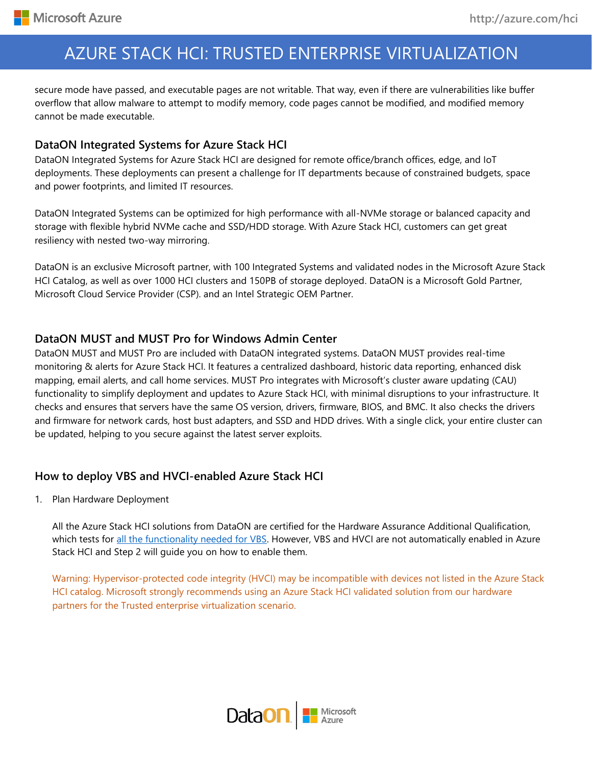## AZURE STACK HCI: TRUSTED ENTERPRISE VIRTUALIZATION

secure mode have passed, and executable pages are not writable. That way, even if there are vulnerabilities like buffer overflow that allow malware to attempt to modify memory, code pages cannot be modified, and modified memory cannot be made executable.

#### **DataON Integrated Systems for Azure Stack HCI**

DataON Integrated Systems for Azure Stack HCI are designed for remote office/branch offices, edge, and IoT deployments. These deployments can present a challenge for IT departments because of constrained budgets, space and power footprints, and limited IT resources.

DataON Integrated Systems can be optimized for high performance with all-NVMe storage or balanced capacity and storage with flexible hybrid NVMe cache and SSD/HDD storage. With Azure Stack HCI, customers can get great resiliency with nested two-way mirroring.

DataON is an exclusive Microsoft partner, with 100 Integrated Systems and validated nodes in the Microsoft Azure Stack HCI Catalog, as well as over 1000 HCI clusters and 150PB of storage deployed. DataON is a Microsoft Gold Partner, Microsoft Cloud Service Provider (CSP). and an Intel Strategic OEM Partner.

#### **DataON MUST and MUST Pro for Windows Admin Center**

DataON MUST and MUST Pro are included with DataON integrated systems. DataON MUST provides real-time monitoring & alerts for Azure Stack HCI. It features a centralized dashboard, historic data reporting, enhanced disk mapping, email alerts, and call home services. MUST Pro integrates with Microsoft's cluster aware updating (CAU) functionality to simplify deployment and updates to Azure Stack HCI, with minimal disruptions to your infrastructure. It checks and ensures that servers have the same OS version, drivers, firmware, BIOS, and BMC. It also checks the drivers and firmware for network cards, host bust adapters, and SSD and HDD drives. With a single click, your entire cluster can be updated, helping to you secure against the latest server exploits.

## **How to deploy VBS and HVCI-enabled Azure Stack HCI**

1. Plan Hardware Deployment

All the Azure Stack HCI solutions from DataON are certified for the Hardware Assurance Additional Qualification, which tests for [all the functionality needed for VBS.](https://docs.microsoft.com/en-us/windows-hardware/design/device-experiences/oem-vbs) However, VBS and HVCI are not automatically enabled in Azure Stack HCI and Step 2 will guide you on how to enable them.

Warning: Hypervisor-protected code integrity (HVCI) may be incompatible with devices not listed in the Azure Stack HCI catalog. Microsoft strongly recommends using an Azure Stack HCI validated solution from our hardware partners for the Trusted enterprise virtualization scenario.